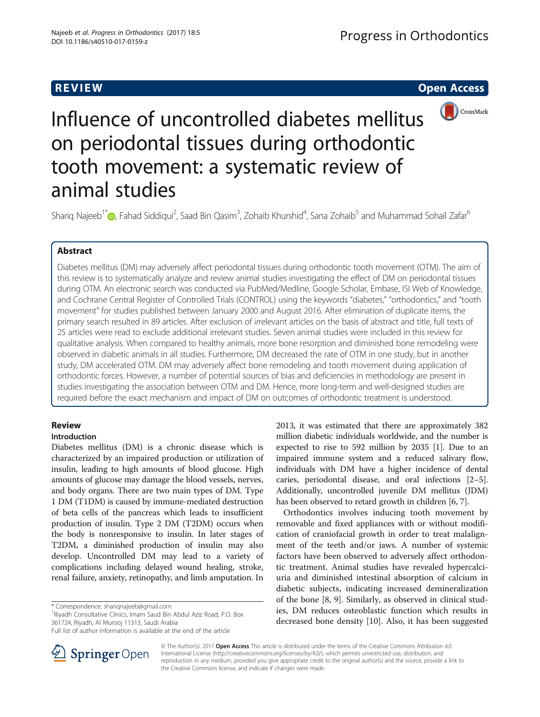

Influence of uncontrolled diabetes mellitus on periodontal tissues during orthodontic tooth movement: a systematic review of animal studies

Shariq Najeeb<sup>1\*</sup>®, Fahad Siddiqui<sup>2</sup>, Saad Bin Qasim<sup>3</sup>, Zohaib Khurshid<sup>4</sup>, Sana Zohaib<sup>5</sup> and Muhammad Sohail Zafar<sup>6</sup>

Diabetes mellitus (DM) may adversely affect periodontal tissues during orthodontic tooth movement (OTM). The aim of this review is to systematically analyze and review animal studies investigating the effect of DM on periodontal tissues during OTM. An electronic search was conducted via PubMed/Medline, Google Scholar, Embase, ISI Web of Knowledge, and Cochrane Central Register of Controlled Trials (CONTROL) using the keywords "diabetes," "orthodontics," and "tooth movement" for studies published between January 2000 and August 2016. After elimination of duplicate items, the primary search resulted in 89 articles. After exclusion of irrelevant articles on the basis of abstract and title, full texts of 25 articles were read to exclude additional irrelevant studies. Seven animal studies were included in this review for qualitative analysis. When compared to healthy animals, more bone resorption and diminished bone remodeling were observed in diabetic animals in all studies. Furthermore, DM decreased the rate of OTM in one study, but in another study, DM accelerated OTM. DM may adversely affect bone remodeling and tooth movement during application of orthodontic forces. However, a number of potential sources of bias and deficiencies in methodology are present in studies investigating the association between OTM and DM. Hence, more long-term and well-designed studies are required before the exact mechanism and impact of DM on outcomes of orthodontic treatment is understood.

## **Review**

# Introduction

Diabetes mellitus (DM) is a chronic disease which is characterized by an impaired production or utilization of insulin, leading to high amounts of blood glucose. High amounts of glucose may damage the blood vessels, nerves, and body organs. There are two main types of DM. Type 1 DM (T1DM) is caused by immune-mediated destruction of beta cells of the pancreas which leads to insufficient production of insulin. Type 2 DM (T2DM) occurs when the body is nonresponsive to insulin. In later stages of T2DM, a diminished production of insulin may also develop. Uncontrolled DM may lead to a variety of complications including delayed wound healing, stroke, renal failure, anxiety, retinopathy, and limb amputation. In

\* Correspondence: [shariqnajeeb@gmail.com](mailto:shariqnajeeb@gmail.com) <sup>1</sup>

<sup>1</sup> Riyadh Consultative Clinics, Imam Saud Bin Abdul Aziz Road, P.O. Box 361724, Riyadh, Al Murooj 11313, Saudi Arabia

2013, it was estimated that there are approximately 382 million diabetic individuals worldwide, and the number is expected to rise to 592 million by 2035 [[1\]](#page-5-0). Due to an impaired immune system and a reduced salivary flow, individuals with DM have a higher incidence of dental caries, periodontal disease, and oral infections [[2](#page-5-0)–[5](#page-6-0)]. Additionally, uncontrolled juvenile DM mellitus (JDM) has been observed to retard growth in children [\[6, 7](#page-6-0)].

Orthodontics involves inducing tooth movement by removable and fixed appliances with or without modification of craniofacial growth in order to treat malalignment of the teeth and/or jaws. A number of systemic factors have been observed to adversely affect orthodontic treatment. Animal studies have revealed hypercalciuria and diminished intestinal absorption of calcium in diabetic subjects, indicating increased demineralization of the bone [\[8](#page-6-0), [9](#page-6-0)]. Similarly, as observed in clinical studies, DM reduces osteoblastic function which results in decreased bone density [\[10](#page-6-0)]. Also, it has been suggested



© The Author(s). 2017 Open Access This article is distributed under the terms of the Creative Commons Attribution 4.0 International License ([http://creativecommons.org/licenses/by/4.0/\)](http://creativecommons.org/licenses/by/4.0/), which permits unrestricted use, distribution, and reproduction in any medium, provided you give appropriate credit to the original author(s) and the source, provide a link to the Creative Commons license, and indicate if changes were made.

Full list of author information is available at the end of the article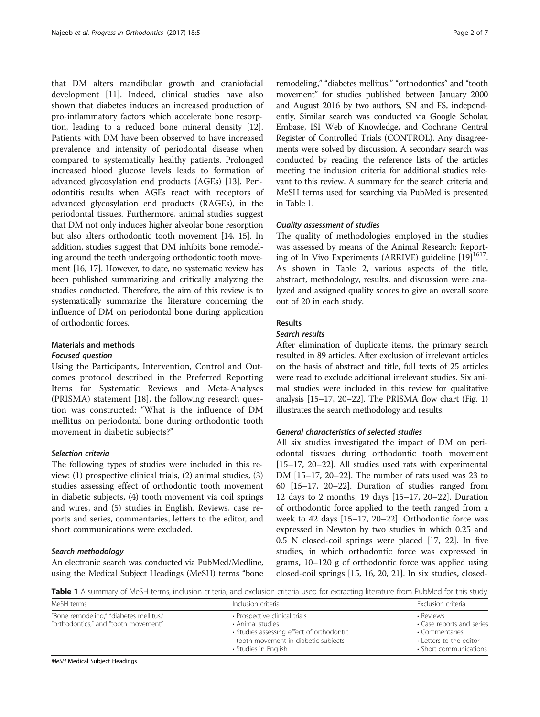that DM alters mandibular growth and craniofacial development [\[11](#page-6-0)]. Indeed, clinical studies have also shown that diabetes induces an increased production of pro-inflammatory factors which accelerate bone resorption, leading to a reduced bone mineral density [\[12](#page-6-0)]. Patients with DM have been observed to have increased prevalence and intensity of periodontal disease when compared to systematically healthy patients. Prolonged increased blood glucose levels leads to formation of advanced glycosylation end products (AGEs) [[13](#page-6-0)]. Periodontitis results when AGEs react with receptors of advanced glycosylation end products (RAGEs), in the periodontal tissues. Furthermore, animal studies suggest that DM not only induces higher alveolar bone resorption but also alters orthodontic tooth movement [\[14, 15\]](#page-6-0). In addition, studies suggest that DM inhibits bone remodeling around the teeth undergoing orthodontic tooth movement [[16](#page-6-0), [17](#page-6-0)]. However, to date, no systematic review has been published summarizing and critically analyzing the studies conducted. Therefore, the aim of this review is to systematically summarize the literature concerning the influence of DM on periodontal bone during application of orthodontic forces.

## Materials and methods

#### Focused question

Using the Participants, Intervention, Control and Outcomes protocol described in the Preferred Reporting Items for Systematic Reviews and Meta-Analyses (PRISMA) statement [\[18](#page-6-0)], the following research question was constructed: "What is the influence of DM mellitus on periodontal bone during orthodontic tooth movement in diabetic subjects?"

#### Selection criteria

The following types of studies were included in this review: (1) prospective clinical trials, (2) animal studies, (3) studies assessing effect of orthodontic tooth movement in diabetic subjects, (4) tooth movement via coil springs and wires, and (5) studies in English. Reviews, case reports and series, commentaries, letters to the editor, and short communications were excluded.

#### Search methodology

An electronic search was conducted via PubMed/Medline, using the Medical Subject Headings (MeSH) terms "bone remodeling," "diabetes mellitus," "orthodontics" and "tooth movement" for studies published between January 2000 and August 2016 by two authors, SN and FS, independently. Similar search was conducted via Google Scholar, Embase, ISI Web of Knowledge, and Cochrane Central Register of Controlled Trials (CONTROL). Any disagreements were solved by discussion. A secondary search was conducted by reading the reference lists of the articles meeting the inclusion criteria for additional studies relevant to this review. A summary for the search criteria and MeSH terms used for searching via PubMed is presented in Table 1.

### Quality assessment of studies

The quality of methodologies employed in the studies was assessed by means of the Animal Research: Report-ing of In Vivo Experiments (ARRIVE) guideline [[19\]](#page-6-0)<sup>1617</sup>. As shown in Table [2](#page-2-0), various aspects of the title, abstract, methodology, results, and discussion were analyzed and assigned quality scores to give an overall score out of 20 in each study.

## Results

#### Search results

After elimination of duplicate items, the primary search resulted in 89 articles. After exclusion of irrelevant articles on the basis of abstract and title, full texts of 25 articles were read to exclude additional irrelevant studies. Six animal studies were included in this review for qualitative analysis [[15](#page-6-0)–[17](#page-6-0), [20](#page-6-0)–[22\]](#page-6-0). The PRISMA flow chart (Fig. [1](#page-3-0)) illustrates the search methodology and results.

## General characteristics of selected studies

All six studies investigated the impact of DM on periodontal tissues during orthodontic tooth movement [[15](#page-6-0)–[17](#page-6-0), [20](#page-6-0)–[22\]](#page-6-0). All studies used rats with experimental DM [\[15](#page-6-0)–[17, 20](#page-6-0)–[22\]](#page-6-0). The number of rats used was 23 to 60 [[15](#page-6-0)–[17](#page-6-0), [20](#page-6-0)–[22\]](#page-6-0). Duration of studies ranged from 12 days to 2 months, 19 days [[15](#page-6-0)–[17](#page-6-0), [20](#page-6-0)–[22\]](#page-6-0). Duration of orthodontic force applied to the teeth ranged from a week to 42 days [[15](#page-6-0)–[17, 20](#page-6-0)–[22\]](#page-6-0). Orthodontic force was expressed in Newton by two studies in which 0.25 and 0.5 N closed-coil springs were placed [\[17, 22\]](#page-6-0). In five studies, in which orthodontic force was expressed in grams, 10–120 g of orthodontic force was applied using closed-coil springs [[15, 16, 20, 21\]](#page-6-0). In six studies, closed-

Table 1 A summary of MeSH terms, inclusion criteria, and exclusion criteria used for extracting literature from PubMed for this study

| MeSH terms                                                                      | Inclusion criteria                                                                                                                                            | Exclusion criteria                                                                                            |
|---------------------------------------------------------------------------------|---------------------------------------------------------------------------------------------------------------------------------------------------------------|---------------------------------------------------------------------------------------------------------------|
| "Bone remodeling," "diabetes mellitus,"<br>"orthodontics," and "tooth movement" | • Prospective clinical trials<br>• Animal studies<br>• Studies assessing effect of orthodontic<br>tooth movement in diabetic subjects<br>• Studies in English | • Reviews<br>• Case reports and series<br>• Commentaries<br>• Letters to the editor<br>• Short communications |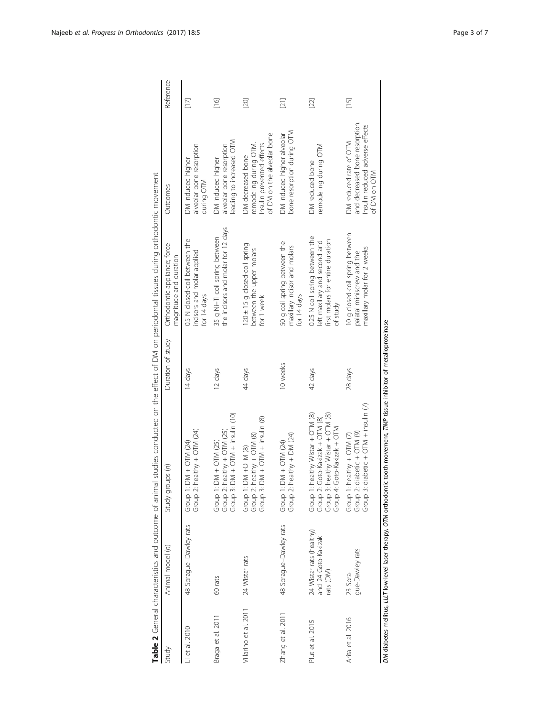<span id="page-2-0"></span>

|                       |                                                              | Table 2 General characteristics and outcome of animal studies conducted on the effect of DM on periodontal tissues during orthodontic movement |                   |                                                                                                                 |                                                                                                             |                                                                                                                                                                                                                              |
|-----------------------|--------------------------------------------------------------|------------------------------------------------------------------------------------------------------------------------------------------------|-------------------|-----------------------------------------------------------------------------------------------------------------|-------------------------------------------------------------------------------------------------------------|------------------------------------------------------------------------------------------------------------------------------------------------------------------------------------------------------------------------------|
| Study                 | Animal model (n)                                             | Study groups (n)                                                                                                                               | Duration of study | Orthodontic appliance; force<br>magnitude and duration                                                          | Outcomes                                                                                                    | Reference                                                                                                                                                                                                                    |
| Li et al. 2010        | 48 Sprague-Dawley rats                                       | Group 2: healthy + OTM (24)<br>Group 1: DM + OTM (24)                                                                                          | 14 days           | 0.5 N closed-coil between the<br>incisors and molar applied<br>for 14 days                                      | alveolar bone resorption<br>DM induced higher<br>during OTM                                                 | $[17]$                                                                                                                                                                                                                       |
| Braga et al. 2011     | 60 rats                                                      | $DM + OTM + insulin (10)$<br>Group 2: healthy $+$ OTM (25)<br>$DM + OTM (25)$<br>Group 1:<br>Group <sub>3</sub> :                              | 12 days           | the incisors and molar for 12 days<br>35 g Ni-Ti coil spring between                                            | leading to increased OTM<br>alveolar bone resorption<br>DM induced higher                                   | $[16]$                                                                                                                                                                                                                       |
| Villarino et al. 2011 | 24 Wistar rats                                               | $DM + OTM + insulin (8)$<br>Group 2: healthy + OTM (8)<br>$DM + OTM$ (8)<br>Group 1:<br>Group <sub>3</sub> :                                   | 44 days           | 120 ± 15 g closed-coil spring<br>between the upper molars<br>for 1 week                                         | of DM on the alveolar bone<br>Insulin prevented effects<br>remodeling during OTM<br>DM decreased bone       | $[20]$                                                                                                                                                                                                                       |
| Zhang et al. 2011     | 48 Sprague-Dawley rats                                       | Group 2: healthy + DM (24)<br>Group 1: DM + OTM (24)                                                                                           | 10 weeks          | 50 g coil spring between the<br>maxillary incisor and molars<br>for 14 days                                     | bone resorption during OTM<br>DM induced higher alveolar                                                    | $\Xi$                                                                                                                                                                                                                        |
| Plut et al. 2015      | 24 Wistar rats (healthy)<br>and 24 Goto-Kakizak<br>rats (DM) | Group 1: healthy Wistar + OTM (8)<br>Group 2: Goto-Kakizak + OTM (8)<br>Group 3: healthy Wistar + OTM (8)<br>Group 4: Goto-Kakizak + OTM       | 42 days           | 0.25 N coil spring between the<br>first molars for entire duration<br>left maxillary and second and<br>of study | remodeling during OTM<br>DM reduced bone                                                                    | $[22] \centering% \includegraphics[width=1\textwidth]{images/TransY.pdf}% \caption{The figure shows the results of the estimators in the left and right. The left and right is the same as in the right.} \label{fig:class}$ |
| Arita et al. 2016     | gue-Dawley rats<br>23 Spra-                                  | $disletic + OTM + insulin (7)$<br>Group 2: diabetic + OTM (9)<br>Group 1: healthy + $QTM$ (7)<br>Group 3:                                      | 28 days           | 10 g closed-coil spring between<br>maxillary molar for 2 weeks<br>palatal miniscrew and the                     | and decreased bone resorption.<br>Insulin reduced adverse effects<br>DM reduced rate of OTM<br>of DM on OTM | $[15]$                                                                                                                                                                                                                       |

DM diabetes mellitus, LLLT low-level laser therapy, OTM orthodontic tooth movement, TMMP tissue inhibitor of metalloproteinase DM diabetes mellitus, LLLT low-level laser therapy, OTM orthodontic tooth movement, TIMP tissue inhibitor of metalloproteinase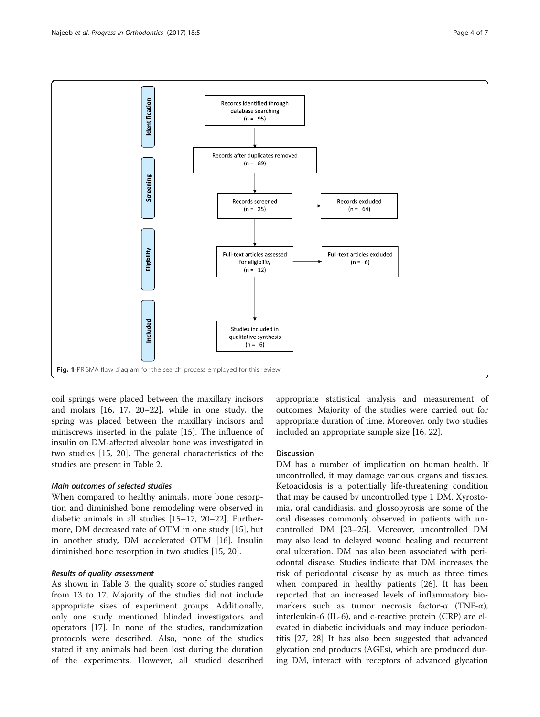<span id="page-3-0"></span>

coil springs were placed between the maxillary incisors and molars [\[16, 17, 20](#page-6-0)–[22](#page-6-0)], while in one study, the spring was placed between the maxillary incisors and miniscrews inserted in the palate [\[15](#page-6-0)]. The influence of insulin on DM-affected alveolar bone was investigated in two studies [\[15, 20](#page-6-0)]. The general characteristics of the studies are present in Table [2](#page-2-0).

## Main outcomes of selected studies

When compared to healthy animals, more bone resorption and diminished bone remodeling were observed in diabetic animals in all studies [[15](#page-6-0)–[17](#page-6-0), [20](#page-6-0)–[22](#page-6-0)]. Furthermore, DM decreased rate of OTM in one study [[15\]](#page-6-0), but in another study, DM accelerated OTM [[16](#page-6-0)]. Insulin diminished bone resorption in two studies [\[15](#page-6-0), [20\]](#page-6-0).

## Results of quality assessment

As shown in Table [3](#page-4-0), the quality score of studies ranged from 13 to 17. Majority of the studies did not include appropriate sizes of experiment groups. Additionally, only one study mentioned blinded investigators and operators [[17](#page-6-0)]. In none of the studies, randomization protocols were described. Also, none of the studies stated if any animals had been lost during the duration of the experiments. However, all studied described

appropriate statistical analysis and measurement of outcomes. Majority of the studies were carried out for appropriate duration of time. Moreover, only two studies included an appropriate sample size [\[16, 22\]](#page-6-0).

### Discussion

DM has a number of implication on human health. If uncontrolled, it may damage various organs and tissues. Ketoacidosis is a potentially life-threatening condition that may be caused by uncontrolled type 1 DM. Xyrostomia, oral candidiasis, and glossopyrosis are some of the oral diseases commonly observed in patients with uncontrolled DM [[23](#page-6-0)–[25](#page-6-0)]. Moreover, uncontrolled DM may also lead to delayed wound healing and recurrent oral ulceration. DM has also been associated with periodontal disease. Studies indicate that DM increases the risk of periodontal disease by as much as three times when compared in healthy patients [[26](#page-6-0)]. It has been reported that an increased levels of inflammatory biomarkers such as tumor necrosis factor-α (TNF-α), interleukin-6 (IL-6), and c-reactive protein (CRP) are elevated in diabetic individuals and may induce periodontitis [[27, 28](#page-6-0)] It has also been suggested that advanced glycation end products (AGEs), which are produced during DM, interact with receptors of advanced glycation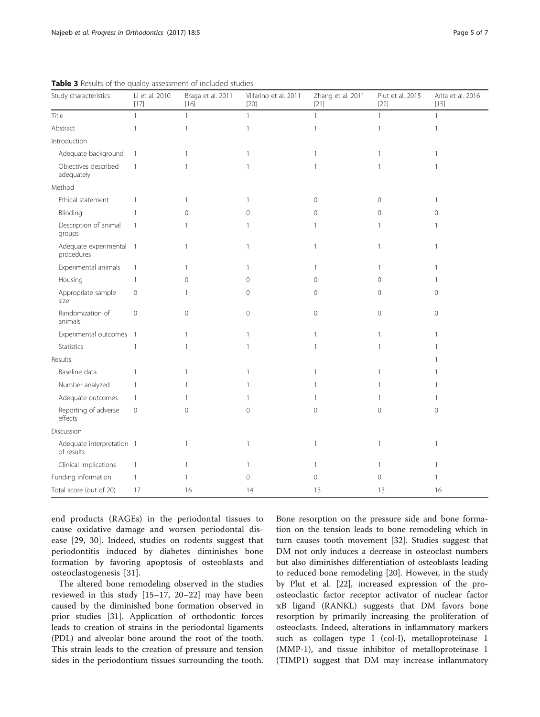| Study characteristics                   | Li et al. 2010<br>[17]   | Braga et al. 2011<br>$[16]$ | Villarino et al. 2011<br>$[20]$ | Zhang et al. 2011<br>$[21]$ | Plut et al. 2015<br>$[22]$ | Arita et al. 2016<br>$[15]$ |
|-----------------------------------------|--------------------------|-----------------------------|---------------------------------|-----------------------------|----------------------------|-----------------------------|
| Title                                   | $\mathbf{1}$             | $\mathbf{1}$                | $\mathbf{1}$                    | $\mathbf{1}$                | $\mathbf{1}$               | $\mathbf{1}$                |
| Abstract                                | $\mathbf{1}$             | $\mathbf{1}$                | $\mathbf{1}$                    | $\mathbf{1}$                | $\mathbf{1}$               | $\mathbf{1}$                |
| Introduction                            |                          |                             |                                 |                             |                            |                             |
| Adequate background                     | $\mathbf{1}$             | 1                           | 1                               | $\mathbf{1}$                |                            |                             |
| Objectives described<br>adequately      | $\mathbf{1}$             | 1                           | $\mathbf{1}$                    | $\mathbf{1}$                | -1                         |                             |
| Method                                  |                          |                             |                                 |                             |                            |                             |
| Ethical statement                       | $\mathbf{1}$             | 1                           | 1                               | $\mathbf{0}$                | $\mathbf 0$                | $\mathbf{1}$                |
| Blinding                                | $\mathbf{1}$             | $\mathbf 0$                 | $\mathbf{0}$                    | $\mathbf 0$                 | $\mathbf{0}$               | 0                           |
| Description of animal<br>groups         | $\mathbf{1}$             | 1                           | $\mathbf{1}$                    | $\mathbf{1}$                | -1                         | 1                           |
| Adequate experimental<br>procedures     | $\overline{\phantom{0}}$ | 1                           | $\overline{1}$                  | $\mathbf{1}$                | 1                          | $\mathbf{1}$                |
| Experimental animals                    | $\mathbf{1}$             | 1                           | 1                               | 1                           | 1                          | 1                           |
| Housing                                 | $\mathbf{1}$             | $\mathbf 0$                 | 0                               | 0                           | 0                          |                             |
| Appropriate sample<br>size              | $\mathbf 0$              | 1                           | $\mathbf 0$                     | $\mathbf 0$                 | $\mathbf 0$                | $\Omega$                    |
| Randomization of<br>animals             | $\overline{0}$           | $\overline{0}$              | $\mathbf 0$                     | $\mathbf 0$                 | $\mathbf 0$                | $\mathbf 0$                 |
| Experimental outcomes                   | $\overline{\phantom{0}}$ | $\mathbf{1}$                | 1                               | $\mathbf{1}$                | 1                          |                             |
| <b>Statistics</b>                       | $\mathbf{1}$             | 1                           | $\mathbf{1}$                    | $\mathbf{1}$                | -1                         |                             |
| Results                                 |                          |                             |                                 |                             |                            |                             |
| Baseline data                           | $\mathbf{1}$             | 1                           | $\mathbf{1}$                    | $\mathbf{1}$                | 1                          |                             |
| Number analyzed                         | $\mathbf{1}$             | 1                           | 1                               | 1                           | 1                          |                             |
| Adequate outcomes                       | $\overline{1}$           | 1                           | -1                              | $\mathbf{1}$                |                            |                             |
| Reporting of adverse<br>effects         | $\mathbf 0$              | $\mathbf 0$                 | $\mathbf 0$                     | $\mathbf 0$                 | $\mathbf 0$                | $\circ$                     |
| Discussion                              |                          |                             |                                 |                             |                            |                             |
| Adequate interpretation 1<br>of results |                          | 1                           | 1                               | $\mathbf{1}$                | $\mathbf{1}$               | $\mathbf{1}$                |
| Clinical implications                   | $\overline{1}$           | 1                           | 1                               | $\mathbf{1}$                | 1                          |                             |
| Funding information                     | $\mathbf{1}$             | 1                           | $\mathbf 0$                     | $\mathbf 0$                 | 0                          | 1                           |
| Total score (out of 20)                 | 17                       | 16                          | 14                              | 13                          | 13                         | 16                          |

<span id="page-4-0"></span>Table 3 Results of the quality assessment of included studies

end products (RAGEs) in the periodontal tissues to cause oxidative damage and worsen periodontal disease [[29](#page-6-0), [30\]](#page-6-0). Indeed, studies on rodents suggest that periodontitis induced by diabetes diminishes bone formation by favoring apoptosis of osteoblasts and osteoclastogenesis [[31\]](#page-6-0).

The altered bone remodeling observed in the studies reviewed in this study [[15](#page-6-0)–[17, 20](#page-6-0)–[22](#page-6-0)] may have been caused by the diminished bone formation observed in prior studies [\[31](#page-6-0)]. Application of orthodontic forces leads to creation of strains in the periodontal ligaments (PDL) and alveolar bone around the root of the tooth. This strain leads to the creation of pressure and tension sides in the periodontium tissues surrounding the tooth.

Bone resorption on the pressure side and bone formation on the tension leads to bone remodeling which in turn causes tooth movement [[32](#page-6-0)]. Studies suggest that DM not only induces a decrease in osteoclast numbers but also diminishes differentiation of osteoblasts leading to reduced bone remodeling [[20\]](#page-6-0). However, in the study by Plut et al. [\[22\]](#page-6-0), increased expression of the proosteoclastic factor receptor activator of nuclear factor ҡB ligand (RANKL) suggests that DM favors bone resorption by primarily increasing the proliferation of osteoclasts. Indeed, alterations in inflammatory markers such as collagen type I (col-I), metalloproteinase 1 (MMP-1), and tissue inhibitor of metalloproteinase 1 (TIMP1) suggest that DM may increase inflammatory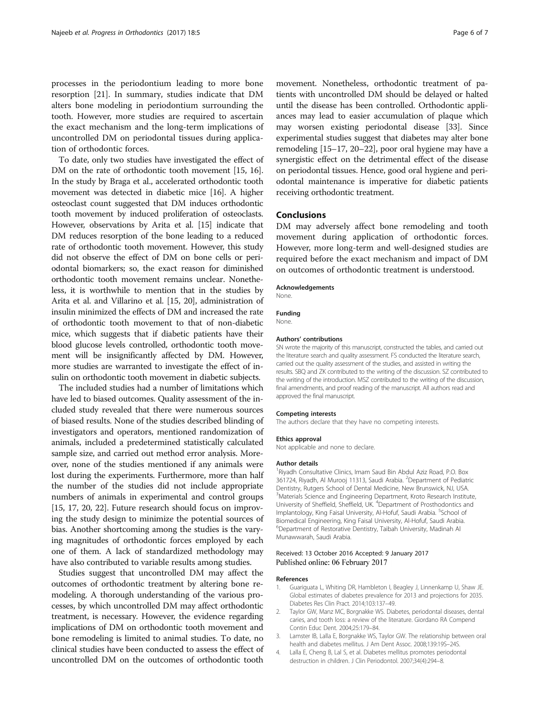<span id="page-5-0"></span>processes in the periodontium leading to more bone resorption [[21](#page-6-0)]. In summary, studies indicate that DM alters bone modeling in periodontium surrounding the tooth. However, more studies are required to ascertain the exact mechanism and the long-term implications of uncontrolled DM on periodontal tissues during application of orthodontic forces.

To date, only two studies have investigated the effect of DM on the rate of orthodontic tooth movement [[15](#page-6-0), [16](#page-6-0)]. In the study by Braga et al., accelerated orthodontic tooth movement was detected in diabetic mice [[16](#page-6-0)]. A higher osteoclast count suggested that DM induces orthodontic tooth movement by induced proliferation of osteoclasts. However, observations by Arita et al. [\[15\]](#page-6-0) indicate that DM reduces resorption of the bone leading to a reduced rate of orthodontic tooth movement. However, this study did not observe the effect of DM on bone cells or periodontal biomarkers; so, the exact reason for diminished orthodontic tooth movement remains unclear. Nonetheless, it is worthwhile to mention that in the studies by Arita et al. and Villarino et al. [\[15, 20](#page-6-0)], administration of insulin minimized the effects of DM and increased the rate of orthodontic tooth movement to that of non-diabetic mice, which suggests that if diabetic patients have their blood glucose levels controlled, orthodontic tooth movement will be insignificantly affected by DM. However, more studies are warranted to investigate the effect of insulin on orthodontic tooth movement in diabetic subjects.

The included studies had a number of limitations which have led to biased outcomes. Quality assessment of the included study revealed that there were numerous sources of biased results. None of the studies described blinding of investigators and operators, mentioned randomization of animals, included a predetermined statistically calculated sample size, and carried out method error analysis. Moreover, none of the studies mentioned if any animals were lost during the experiments. Furthermore, more than half the number of the studies did not include appropriate numbers of animals in experimental and control groups [[15](#page-6-0), [17, 20, 22\]](#page-6-0). Future research should focus on improving the study design to minimize the potential sources of bias. Another shortcoming among the studies is the varying magnitudes of orthodontic forces employed by each one of them. A lack of standardized methodology may have also contributed to variable results among studies.

Studies suggest that uncontrolled DM may affect the outcomes of orthodontic treatment by altering bone remodeling. A thorough understanding of the various processes, by which uncontrolled DM may affect orthodontic treatment, is necessary. However, the evidence regarding implications of DM on orthodontic tooth movement and bone remodeling is limited to animal studies. To date, no clinical studies have been conducted to assess the effect of uncontrolled DM on the outcomes of orthodontic tooth movement. Nonetheless, orthodontic treatment of patients with uncontrolled DM should be delayed or halted until the disease has been controlled. Orthodontic appliances may lead to easier accumulation of plaque which may worsen existing periodontal disease [\[33\]](#page-6-0). Since experimental studies suggest that diabetes may alter bone remodeling [\[15](#page-6-0)–[17](#page-6-0), [20](#page-6-0)–[22](#page-6-0)], poor oral hygiene may have a synergistic effect on the detrimental effect of the disease on periodontal tissues. Hence, good oral hygiene and periodontal maintenance is imperative for diabetic patients receiving orthodontic treatment.

## **Conclusions**

DM may adversely affect bone remodeling and tooth movement during application of orthodontic forces. However, more long-term and well-designed studies are required before the exact mechanism and impact of DM on outcomes of orthodontic treatment is understood.

#### Acknowledgements

Funding None.

None.

#### Authors' contributions

SN wrote the majority of this manuscript, constructed the tables, and carried out the literature search and quality assessment. FS conducted the literature search, carried out the quality assessment of the studies, and assisted in writing the results. SBQ and ZK contributed to the writing of the discussion. SZ contributed to the writing of the introduction. MSZ contributed to the writing of the discussion, final amendments, and proof reading of the manuscript. All authors read and approved the final manuscript.

#### Competing interests

The authors declare that they have no competing interests.

#### Ethics approval

Not applicable and none to declare.

#### Author details

<sup>1</sup> Riyadh Consultative Clinics, Imam Saud Bin Abdul Aziz Road, P.O. Box 361724, Riyadh, Al Murooj 11313, Saudi Arabia. <sup>2</sup>Department of Pediatric Dentistry, Rutgers School of Dental Medicine, New Brunswick, NJ, USA. <sup>3</sup>Materials Science and Engineering Department, Kroto Research Institute University of Sheffield, Sheffield, UK. <sup>4</sup> Department of Prosthodontics and Implantology, King Faisal University, Al-Hofuf, Saudi Arabia. <sup>5</sup>School of Biomedical Engineering, King Faisal University, Al-Hofuf, Saudi Arabia. 6 Department of Restorative Dentistry, Taibah University, Madinah Al Munawwarah, Saudi Arabia.

#### Received: 13 October 2016 Accepted: 9 January 2017 Published online: 06 February 2017

#### References

- 1. Guariguata L, Whiting DR, Hambleton I, Beagley J, Linnenkamp U, Shaw JE. Global estimates of diabetes prevalence for 2013 and projections for 2035. Diabetes Res Clin Pract. 2014;103:137–49.
- 2. Taylor GW, Manz MC, Borgnakke WS. Diabetes, periodontal diseases, dental caries, and tooth loss: a review of the literature. Giordano RA Compend Contin Educ Dent. 2004;25:179–84.
- 3. Lamster IB, Lalla E, Borgnakke WS, Taylor GW. The relationship between oral health and diabetes mellitus. J Am Dent Assoc. 2008;139:19S–24S.
- 4. Lalla E, Cheng B, Lal S, et al. Diabetes mellitus promotes periodontal destruction in children. J Clin Periodontol. 2007;34(4):294–8.